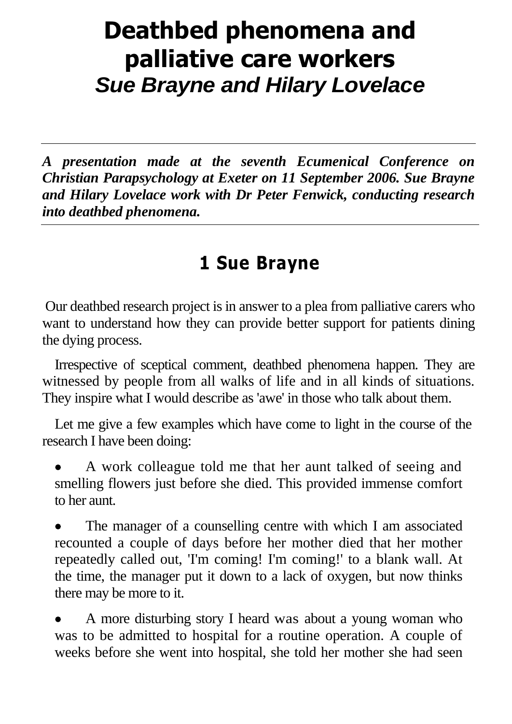## **Deathbed phenomena and palliative care workers** *Sue Brayne and Hilary Lovelace*

*A presentation made at the seventh Ecumenical Conference on Christian Parapsychology at Exeter on 11 September 2006. Sue Brayne and Hilary Lovelace work with Dr Peter Fenwick, conducting research into deathbed phenomena.*

## **1 Sue Brayne**

Our deathbed research project is in answer to a plea from palliative carers who want to understand how they can provide better support for patients dining the dying process.

Irrespective of sceptical comment, deathbed phenomena happen. They are witnessed by people from all walks of life and in all kinds of situations. They inspire what I would describe as 'awe' in those who talk about them.

Let me give a few examples which have come to light in the course of the research I have been doing:

 A work colleague told me that her aunt talked of seeing and smelling flowers just before she died. This provided immense comfort to her aunt.

 The manager of a counselling centre with which I am associated recounted a couple of days before her mother died that her mother repeatedly called out, 'I'm coming! I'm coming!' to a blank wall. At the time, the manager put it down to a lack of oxygen, but now thinks there may be more to it.

 A more disturbing story I heard was about a young woman who was to be admitted to hospital for a routine operation. A couple of weeks before she went into hospital, she told her mother she had seen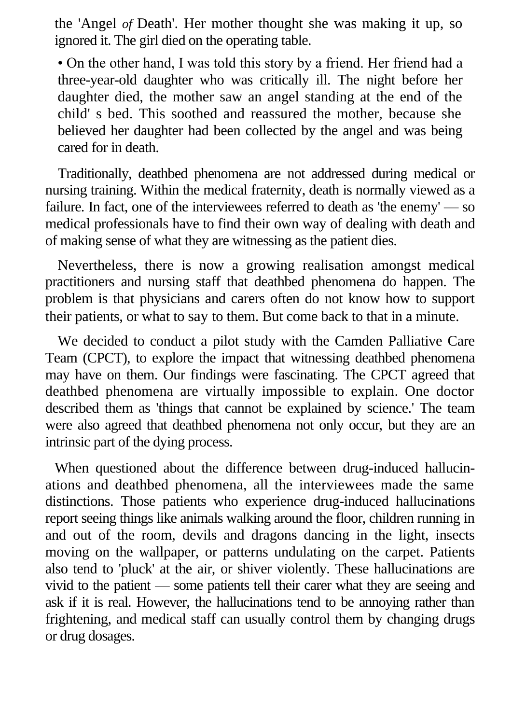the 'Angel *of* Death'. Her mother thought she was making it up, so ignored it. The girl died on the operating table.

• On the other hand, I was told this story by a friend. Her friend had a three-year-old daughter who was critically ill. The night before her daughter died, the mother saw an angel standing at the end of the child' s bed. This soothed and reassured the mother, because she believed her daughter had been collected by the angel and was being cared for in death.

Traditionally, deathbed phenomena are not addressed during medical or nursing training. Within the medical fraternity, death is normally viewed as a failure. In fact, one of the interviewees referred to death as 'the enemy' — so medical professionals have to find their own way of dealing with death and of making sense of what they are witnessing as the patient dies.

Nevertheless, there is now a growing realisation amongst medical practitioners and nursing staff that deathbed phenomena do happen. The problem is that physicians and carers often do not know how to support their patients, or what to say to them. But come back to that in a minute.

We decided to conduct a pilot study with the Camden Palliative Care Team (CPCT), to explore the impact that witnessing deathbed phenomena may have on them. Our findings were fascinating. The CPCT agreed that deathbed phenomena are virtually impossible to explain. One doctor described them as 'things that cannot be explained by science.' The team were also agreed that deathbed phenomena not only occur, but they are an intrinsic part of the dying process.

When questioned about the difference between drug-induced hallucinations and deathbed phenomena, all the interviewees made the same distinctions. Those patients who experience drug-induced hallucinations report seeing things like animals walking around the floor, children running in and out of the room, devils and dragons dancing in the light, insects moving on the wallpaper, or patterns undulating on the carpet. Patients also tend to 'pluck' at the air, or shiver violently. These hallucinations are vivid to the patient — some patients tell their carer what they are seeing and ask if it is real. However, the hallucinations tend to be annoying rather than frightening, and medical staff can usually control them by changing drugs or drug dosages.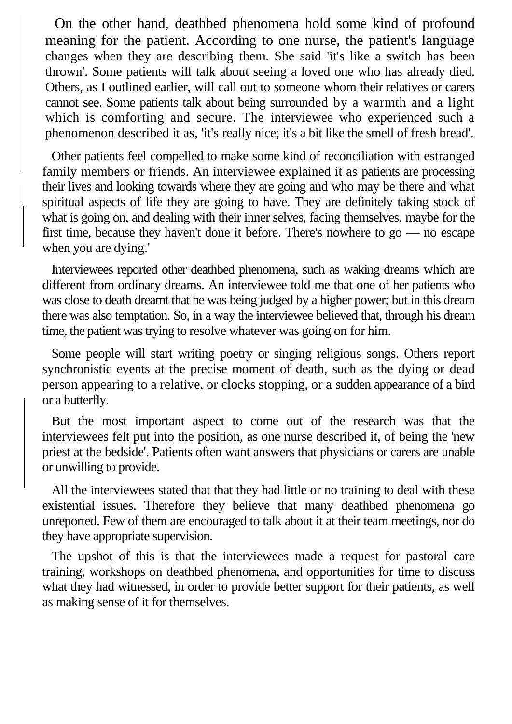On the other hand, deathbed phenomena hold some kind of profound meaning for the patient. According to one nurse, the patient's language changes when they are describing them. She said 'it's like a switch has been thrown'. Some patients will talk about seeing a loved one who has already died. Others, as I outlined earlier, will call out to someone whom their relatives or carers cannot see. Some patients talk about being surrounded by a warmth and a light which is comforting and secure. The interviewee who experienced such a phenomenon described it as, 'it's really nice; it's a bit like the smell of fresh bread'.

Other patients feel compelled to make some kind of reconciliation with estranged family members or friends. An interviewee explained it as patients are processing their lives and looking towards where they are going and who may be there and what spiritual aspects of life they are going to have. They are definitely taking stock of what is going on, and dealing with their inner selves, facing themselves, maybe for the first time, because they haven't done it before. There's nowhere to go — no escape when you are dying.'

Interviewees reported other deathbed phenomena, such as waking dreams which are different from ordinary dreams. An interviewee told me that one of her patients who was close to death dreamt that he was being judged by a higher power; but in this dream there was also temptation. So, in a way the interviewee believed that, through his dream time, the patient was trying to resolve whatever was going on for him.

Some people will start writing poetry or singing religious songs. Others report synchronistic events at the precise moment of death, such as the dying or dead person appearing to a relative, or clocks stopping, or a sudden appearance of a bird or a butterfly.

But the most important aspect to come out of the research was that the interviewees felt put into the position, as one nurse described it, of being the 'new priest at the bedside'. Patients often want answers that physicians or carers are unable or unwilling to provide.

All the interviewees stated that that they had little or no training to deal with these existential issues. Therefore they believe that many deathbed phenomena go unreported. Few of them are encouraged to talk about it at their team meetings, nor do they have appropriate supervision.

The upshot of this is that the interviewees made a request for pastoral care training, workshops on deathbed phenomena, and opportunities for time to discuss what they had witnessed, in order to provide better support for their patients, as well as making sense of it for themselves.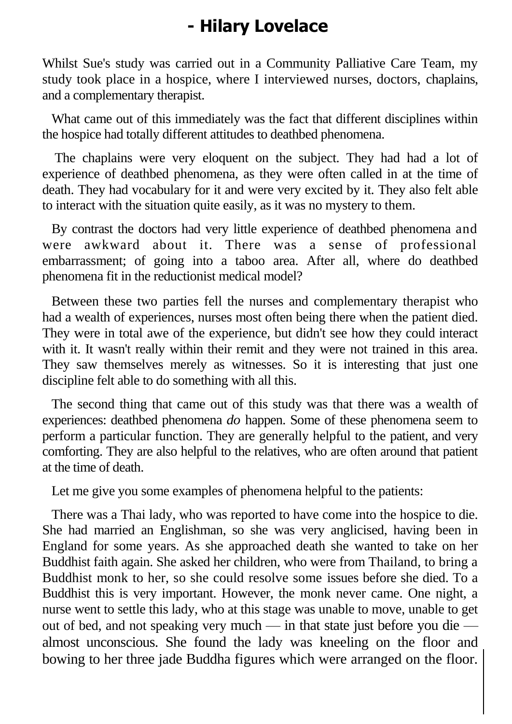## **- Hilary Lovelace**

Whilst Sue's study was carried out in a Community Palliative Care Team, my study took place in a hospice, where I interviewed nurses, doctors, chaplains, and a complementary therapist.

What came out of this immediately was the fact that different disciplines within the hospice had totally different attitudes to deathbed phenomena.

The chaplains were very eloquent on the subject. They had had a lot of experience of deathbed phenomena, as they were often called in at the time of death. They had vocabulary for it and were very excited by it. They also felt able to interact with the situation quite easily, as it was no mystery to them.

By contrast the doctors had very little experience of deathbed phenomena and were awkward about it. There was a sense of professional embarrassment; of going into a taboo area. After all, where do deathbed phenomena fit in the reductionist medical model?

Between these two parties fell the nurses and complementary therapist who had a wealth of experiences, nurses most often being there when the patient died. They were in total awe of the experience, but didn't see how they could interact with it. It wasn't really within their remit and they were not trained in this area. They saw themselves merely as witnesses. So it is interesting that just one discipline felt able to do something with all this.

The second thing that came out of this study was that there was a wealth of experiences: deathbed phenomena *do* happen. Some of these phenomena seem to perform a particular function. They are generally helpful to the patient, and very comforting. They are also helpful to the relatives, who are often around that patient at the time of death.

Let me give you some examples of phenomena helpful to the patients:

There was a Thai lady, who was reported to have come into the hospice to die. She had married an Englishman, so she was very anglicised, having been in England for some years. As she approached death she wanted to take on her Buddhist faith again. She asked her children, who were from Thailand, to bring a Buddhist monk to her, so she could resolve some issues before she died. To a Buddhist this is very important. However, the monk never came. One night, a nurse went to settle this lady, who at this stage was unable to move, unable to get out of bed, and not speaking very much — in that state just before you die almost unconscious. She found the lady was kneeling on the floor and bowing to her three jade Buddha figures which were arranged on the floor.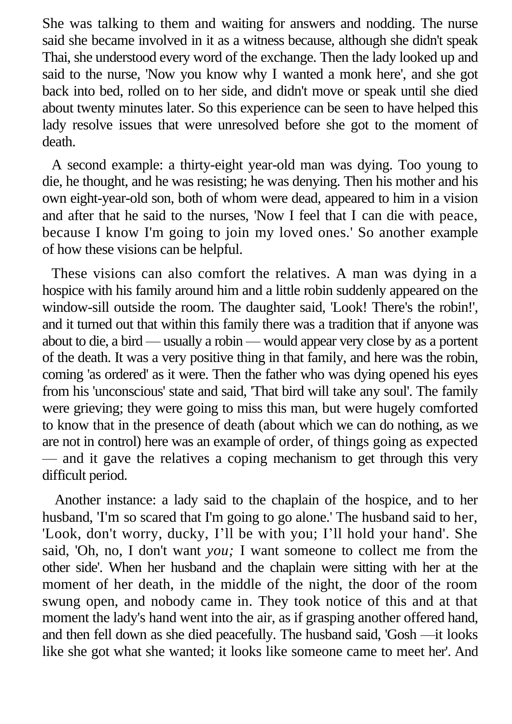She was talking to them and waiting for answers and nodding. The nurse said she became involved in it as a witness because, although she didn't speak Thai, she understood every word of the exchange. Then the lady looked up and said to the nurse, 'Now you know why I wanted a monk here', and she got back into bed, rolled on to her side, and didn't move or speak until she died about twenty minutes later. So this experience can be seen to have helped this lady resolve issues that were unresolved before she got to the moment of death.

A second example: a thirty-eight year-old man was dying. Too young to die, he thought, and he was resisting; he was denying. Then his mother and his own eight-year-old son, both of whom were dead, appeared to him in a vision and after that he said to the nurses, 'Now I feel that I can die with peace, because I know I'm going to join my loved ones.' So another example of how these visions can be helpful.

These visions can also comfort the relatives. A man was dying in a hospice with his family around him and a little robin suddenly appeared on the window-sill outside the room. The daughter said, 'Look! There's the robin!', and it turned out that within this family there was a tradition that if anyone was about to die, a bird — usually a robin — would appear very close by as a portent of the death. It was a very positive thing in that family, and here was the robin, coming 'as ordered' as it were. Then the father who was dying opened his eyes from his 'unconscious' state and said, 'That bird will take any soul'. The family were grieving; they were going to miss this man, but were hugely comforted to know that in the presence of death (about which we can do nothing, as we are not in control) here was an example of order, of things going as expected — and it gave the relatives a coping mechanism to get through this very difficult period.

Another instance: a lady said to the chaplain of the hospice, and to her husband, 'I'm so scared that I'm going to go alone.' The husband said to her, 'Look, don't worry, ducky, I'll be with you; I'll hold your hand'. She said, 'Oh, no, I don't want *you;* I want someone to collect me from the other side'. When her husband and the chaplain were sitting with her at the moment of her death, in the middle of the night, the door of the room swung open, and nobody came in. They took notice of this and at that moment the lady's hand went into the air, as if grasping another offered hand, and then fell down as she died peacefully. The husband said, 'Gosh —it looks like she got what she wanted; it looks like someone came to meet her'. And